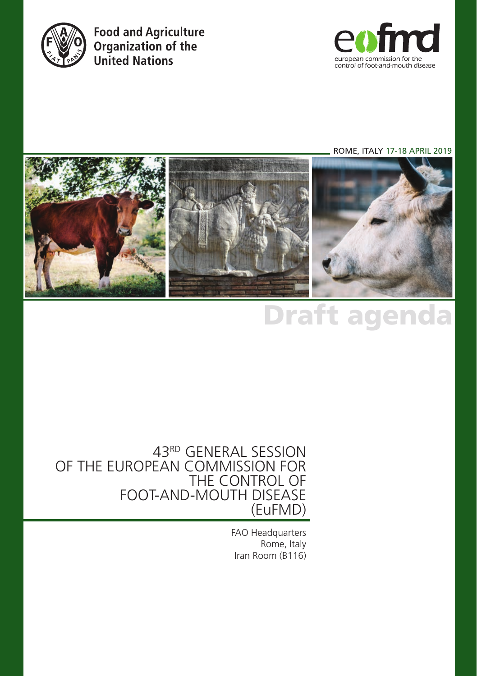

**Food and Agriculture** Organization of the **United Nations** 



ROME, ITALY 17-18 APRIL 2019



# Draft agenda

#### 43RD GENERAL SESSION OF THE EUROPEAN COMMISSION FOR THE CONTROL OF FOOT-AND-MOUTH DISEASE (EuFMD)

FAO Headquarters Rome, Italy Iran Room (B116)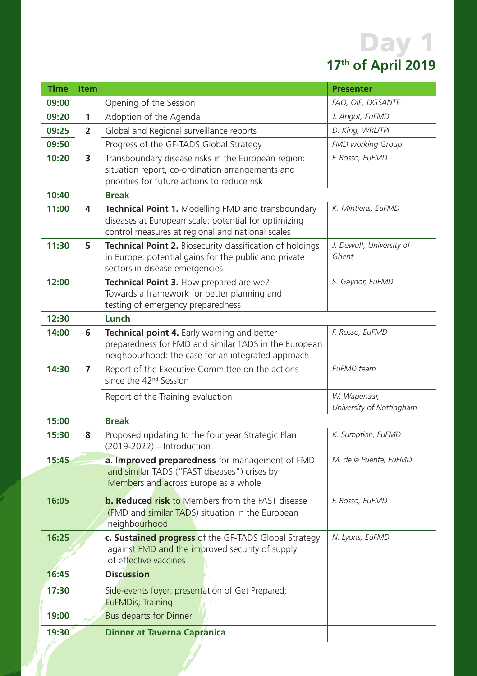### Day 1 **17th of April 2019**

| <b>Time</b> | <b>Item</b>    |                                                                                                                                                                | <b>Presenter</b>                         |
|-------------|----------------|----------------------------------------------------------------------------------------------------------------------------------------------------------------|------------------------------------------|
| 09:00       |                | Opening of the Session                                                                                                                                         | FAO, OIE, DGSANTE                        |
| 09:20       | 1              | Adoption of the Agenda                                                                                                                                         | J. Angot, EuFMD                          |
| 09:25       | $\overline{2}$ | Global and Regional surveillance reports                                                                                                                       | D. King, WRL/TPI                         |
| 09:50       |                | Progress of the GF-TADS Global Strategy                                                                                                                        | <b>FMD working Group</b>                 |
| 10:20       | 3              | Transboundary disease risks in the European region:<br>situation report, co-ordination arrangements and<br>priorities for future actions to reduce risk        | F. Rosso, EuFMD                          |
| 10:40       |                | <b>Break</b>                                                                                                                                                   |                                          |
| 11:00       | 4              | Technical Point 1. Modelling FMD and transboundary<br>diseases at European scale: potential for optimizing<br>control measures at regional and national scales | K. Mintiens, EuFMD                       |
| 11:30       | 5              | Technical Point 2. Biosecurity classification of holdings<br>in Europe: potential gains for the public and private<br>sectors in disease emergencies           | J. Dewulf, University of<br>Ghent        |
| 12:00       |                | Technical Point 3. How prepared are we?<br>Towards a framework for better planning and<br>testing of emergency preparedness                                    | S. Gaynor, EuFMD                         |
| 12:30       |                | Lunch                                                                                                                                                          |                                          |
| 14:00       | 6              | Technical point 4. Early warning and better<br>preparedness for FMD and similar TADS in the European<br>neighbourhood: the case for an integrated approach     | F. Rosso, EuFMD                          |
| 14:30       | $\overline{ }$ | Report of the Executive Committee on the actions<br>since the 42 <sup>nd</sup> Session                                                                         | EuFMD team                               |
|             |                | Report of the Training evaluation                                                                                                                              | W. Wapenaar,<br>University of Nottingham |
| 15:00       |                | <b>Break</b>                                                                                                                                                   |                                          |
| 15:30       | 8              | Proposed updating to the four year Strategic Plan<br>(2019-2022) - Introduction                                                                                | K. Sumption, EuFMD                       |
| 15:45       |                | a. Improved preparedness for management of FMD<br>and similar TADS ("FAST diseases") crises by<br>Members and across Europe as a whole                         | M. de la Puente, EuFMD                   |
| 16:05       |                | <b>b. Reduced risk to Members from the FAST disease</b><br>(FMD and similar TADS) situation in the European<br>neighbourhood                                   | F. Rosso, EuFMD                          |
| 16:25       |                | c. Sustained progress of the GF-TADS Global Strategy<br>against FMD and the improved security of supply<br>of effective vaccines                               | N. Lyons, EuFMD                          |
| 16:45       |                | <b>Discussion</b>                                                                                                                                              |                                          |
| 17:30       |                | Side-events foyer: presentation of Get Prepared;<br>EuFMDis; Training                                                                                          |                                          |
| 19:00       | ركوم           | Bus departs for Dinner                                                                                                                                         |                                          |
| 19:30       |                | <b>Dinner at Taverna Capranica</b>                                                                                                                             |                                          |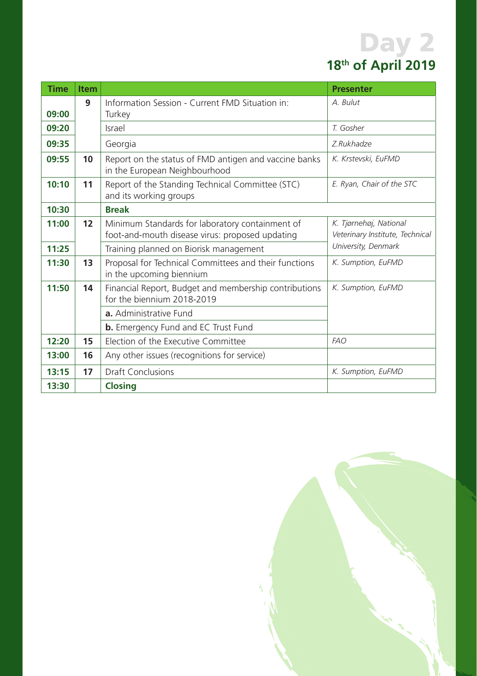## Day 2 **18th of April 2019**

| <b>Time</b> | <b>Item</b> |                                                                                                    | <b>Presenter</b>                                          |
|-------------|-------------|----------------------------------------------------------------------------------------------------|-----------------------------------------------------------|
| 09:00       | q           | Information Session - Current FMD Situation in:<br>Turkey                                          | A. Bulut                                                  |
| 09:20       |             | Israel                                                                                             | T. Gosher                                                 |
| 09:35       |             | Georgia                                                                                            | Z.Rukhadze                                                |
| 09:55       | 10          | Report on the status of FMD antigen and vaccine banks<br>in the European Neighbourhood             | K. Krstevski, EuFMD                                       |
| 10:10       | 11          | Report of the Standing Technical Committee (STC)<br>and its working groups                         | E. Ryan, Chair of the STC                                 |
| 10:30       |             | <b>Break</b>                                                                                       |                                                           |
| 11:00       | 12          | Minimum Standards for laboratory containment of<br>foot-and-mouth disease virus: proposed updating | K. Tjørnehøj, National<br>Veterinary Institute, Technical |
| 11:25       |             | Training planned on Biorisk management                                                             | University, Denmark                                       |
| 11:30       | 13          | Proposal for Technical Committees and their functions<br>in the upcoming biennium                  | K. Sumption, EuFMD                                        |
| 11:50       | 14          | Financial Report, Budget and membership contributions<br>for the biennium 2018-2019                | K. Sumption, EuFMD                                        |
|             |             | a. Administrative Fund                                                                             |                                                           |
|             |             | <b>b.</b> Emergency Fund and EC Trust Fund                                                         |                                                           |
| 12:20       | 15          | Election of the Executive Committee                                                                | <b>FAO</b>                                                |
| 13:00       | 16          | Any other issues (recognitions for service)                                                        |                                                           |
| 13:15       | 17          | <b>Draft Conclusions</b>                                                                           | K. Sumption, EuFMD                                        |
| 13:30       |             | <b>Closing</b>                                                                                     |                                                           |